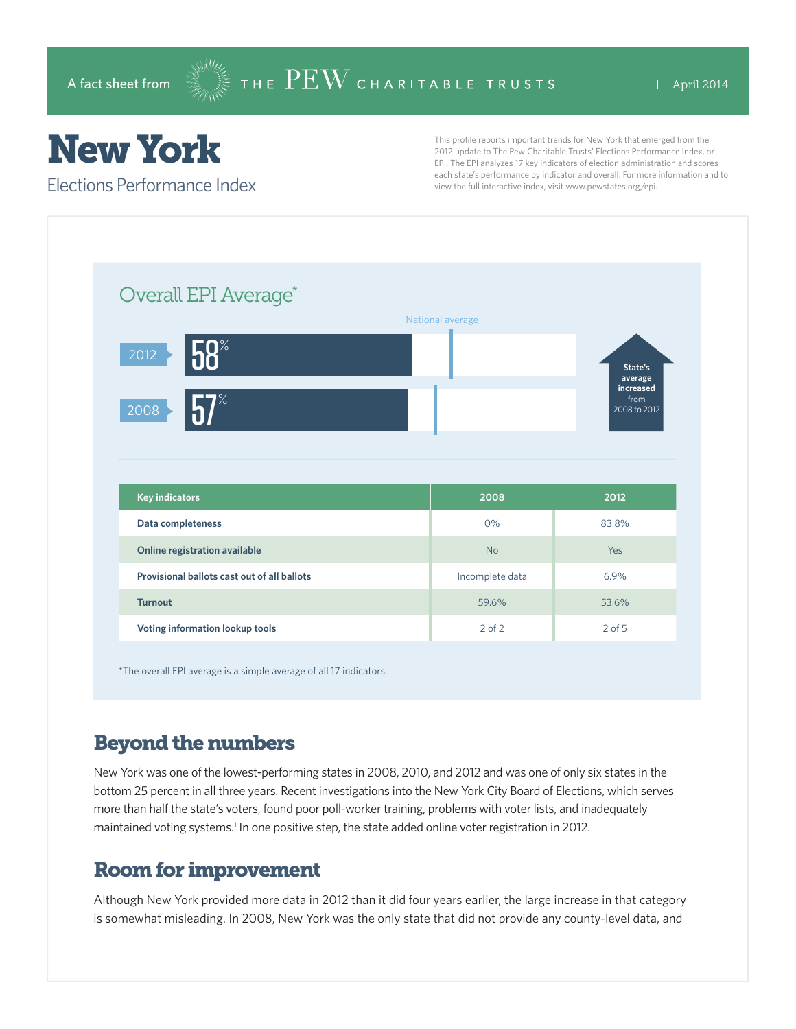# New York

Elections Performance Index

This profile reports important trends for New York that emerged from the 2012 update to The Pew Charitable Trusts' Elections Performance Index, or EPI. The EPI analyzes 17 key indicators of election administration and scores each state's performance by indicator and overall. For more information and to view the full interactive index, visit www.pewstates.org/epi.

| Overall EPI Average*                               |                  |                                   |
|----------------------------------------------------|------------------|-----------------------------------|
|                                                    | National average |                                   |
| 58<br>2012                                         |                  | State's<br>average                |
| 7%<br>2008                                         |                  | increased<br>from<br>2008 to 2012 |
|                                                    |                  |                                   |
|                                                    |                  |                                   |
|                                                    |                  |                                   |
| <b>Key indicators</b>                              | 2008<br>0%       | 2012<br>83.8%                     |
| Data completeness<br>Online registration available | <b>No</b>        | Yes                               |
| Provisional ballots cast out of all ballots        | Incomplete data  | 6.9%                              |
| <b>Turnout</b>                                     | 59.6%            | 53.6%                             |

\*The overall EPI average is a simple average of all 17 indicators.

### Beyond the numbers

New York was one of the lowest-performing states in 2008, 2010, and 2012 and was one of only six states in the bottom 25 percent in all three years. Recent investigations into the New York City Board of Elections, which serves more than half the state's voters, found poor poll-worker training, problems with voter lists, and inadequately maintained voting systems.<sup>1</sup> In one positive step, the state added online voter registration in 2012.

#### Room for improvement

Although New York provided more data in 2012 than it did four years earlier, the large increase in that category is somewhat misleading. In 2008, New York was the only state that did not provide any county-level data, and